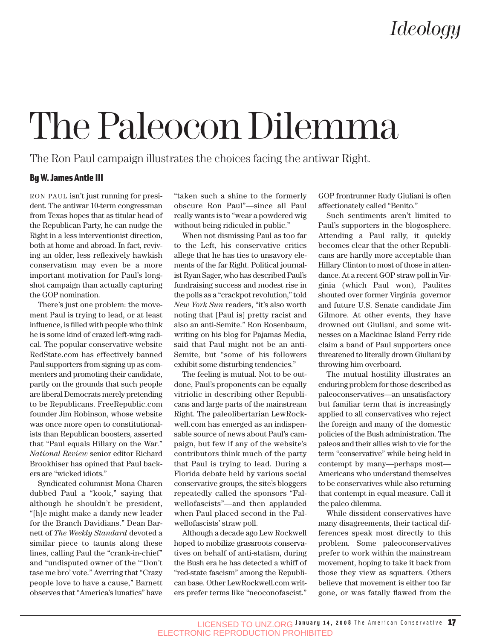### *Ideology*

# The PaleoconDilemma

The Ron Paul campaign illustrates the choices facing the antiwar Right.

#### By W. James Antle III

RON PAUL isn't just running for president. The antiwar 10-term congressman from Texas hopes that as titular head of the Republican Party, he can nudge the Right in a less interventionist direction, both at home and abroad. In fact, reviving an older, less reflexively hawkish conservatism may even be a more important motivation for Paul's longshot campaign than actually capturing the GOP nomination.

There's just one problem: the movement Paul is trying to lead, or at least influence, is filled with people who think he is some kind of crazed left-wing radical. The popular conservative website RedState.com has effectively banned Paul supporters from signing up as commenters and promoting their candidate, partly on the grounds that such people are liberal Democrats merely pretending to be Republicans. FreeRepublic.com founder Jim Robinson, whose website was once more open to constitutionalists than Republican boosters, asserted that "Paul equals Hillary on the War." *National Review* senior editor Richard Brookhiser has opined that Paul backers are "wicked idiots."

Syndicated columnist Mona Charen dubbed Paul a "kook," saying that although he shouldn't be president, "[h]e might make a dandy new leader for the Branch Davidians." Dean Barnett of *The Weekly Standard* devoted a similar piece to taunts along these lines, calling Paul the "crank-in-chief" and "undisputed owner of the "'Don't tase me bro' vote." Averring that "Crazy people love to have a cause," Barnett observes that "America's lunatics" have "taken such a shine to the formerly obscure Ron Paul"—since all Paul really wants is to "wear a powdered wig without being ridiculed in public."

When not dismissing Paul as too far to the Left, his conservative critics allege that he has ties to unsavory elements of the far Right. Political journalist Ryan Sager, who has described Paul's fundraising success and modest rise in the polls as a "crackpot revolution," told *New York Sun* readers, "it's also worth noting that [Paul is] pretty racist and also an anti-Semite." Ron Rosenbaum, writing on his blog for Pajamas Media, said that Paul might not be an anti-Semite, but "some of his followers exhibit some disturbing tendencies."

The feeling is mutual. Not to be outdone, Paul's proponents can be equally vitriolic in describing other Republicans and large parts of the mainstream Right. The paleolibertarian LewRockwell.com has emerged as an indispensable source of news about Paul's campaign, but few if any of the website's contributors think much of the party that Paul is trying to lead. During a Florida debate held by various social conservative groups, the site's bloggers repeatedly called the sponsors "Falwellofascists"—and then applauded when Paul placed second in the Falwellofascists' straw poll.

Although a decade ago Lew Rockwell hoped to mobilize grassroots conservatives on behalf of anti-statism, during the Bush era he has detected a whiff of "red-state fascism" among the Republican base. Other LewRockwell.com writers prefer terms like "neoconofascist."

GOP frontrunner Rudy Giuliani is often affectionately called "Benito."

Such sentiments aren't limited to Paul's supporters in the blogosphere. Attending a Paul rally, it quickly becomes clear that the other Republicans are hardly more acceptable than Hillary Clinton to most of those in attendance. At a recent GOP straw poll in Virginia (which Paul won), Paulites shouted over former Virginia governor and future U.S. Senate candidate Jim Gilmore. At other events, they have drowned out Giuliani, and some witnesses on a Mackinac Island Ferry ride claim a band of Paul supporters once threatened to literally drown Giuliani by throwing him overboard.

The mutual hostility illustrates an enduring problem for those described as paleoconservatives—an unsatisfactory but familiar term that is increasingly applied to all conservatives who reject the foreign and many of the domestic policies of the Bush administration. The paleos and their allies wish to vie for the term "conservative" while being held in contempt by many—perhaps most— Americans who understand themselves to be conservatives while also returning that contempt in equal measure. Call it the paleo dilemma.

While dissident conservatives have many disagreements, their tactical differences speak most directly to this problem. Some paleoconservatives prefer to work within the mainstream movement, hoping to take it back from those they view as squatters. Others believe that movement is either too far gone, or was fatally flawed from the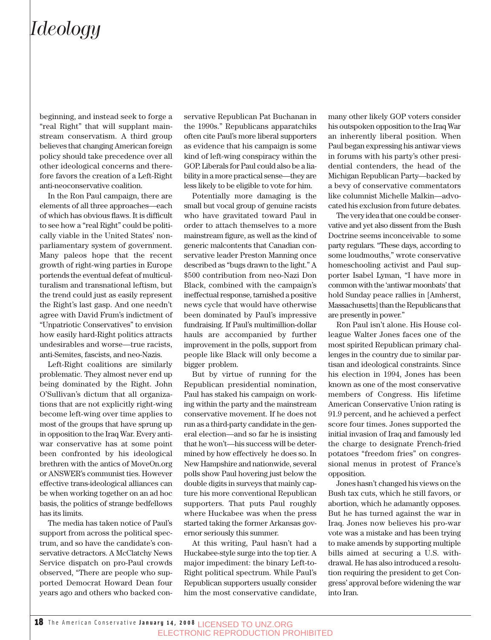### *Ideology*

beginning, and instead seek to forge a "real Right" that will supplant mainstream conservatism. A third group believes that changing American foreign policy should take precedence over all other ideological concerns and therefore favors the creation of a Left-Right anti-neoconservative coalition.

In the Ron Paul campaign, there are elements of all three approaches—each of which has obvious flaws. It is difficult to see how a "real Right" could be politically viable in the United States' nonparliamentary system of government. Many paleos hope that the recent growth of right-wing parties in Europe portends the eventual defeat of multiculturalism and transnational leftism, but the trend could just as easily represent the Right's last gasp. And one needn't agree with David Frum's indictment of "Unpatriotic Conservatives" to envision how easily hard-Right politics attracts undesirables and worse—true racists, anti-Semites, fascists, and neo-Nazis.

Left-Right coalitions are similarly problematic. They almost never end up being dominated by the Right. John O'Sullivan's dictum that all organizations that are not explicitly right-wing become left-wing over time applies to most of the groups that have sprung up in opposition to the Iraq War. Every antiwar conservative has at some point been confronted by his ideological brethren with the antics of MoveOn.org or ANSWER's communist ties. However effective trans-ideological alliances can be when working together on an ad hoc basis, the politics of strange bedfellows has its limits.

The media has taken notice of Paul's support from across the political spectrum, and so have the candidate's conservative detractors. A McClatchy News Service dispatch on pro-Paul crowds observed, "There are people who supported Democrat Howard Dean four years ago and others who backed conservative Republican Pat Buchanan in the 1990s." Republicans apparatchiks often cite Paul's more liberal supporters as evidence that his campaign is some kind of left-wing conspiracy within the GOP. Liberals for Paul could also be a liability in a more practical sense—they are less likely to be eligible to vote for him.

Potentially more damaging is the small but vocal group of genuine racists who have gravitated toward Paul in order to attach themselves to a more mainstream figure, as well as the kind of generic malcontents that Canadian conservative leader Preston Manning once described as "bugs drawn to the light." A \$500 contribution from neo-Nazi Don Black, combined with the campaign's ineffectual response, tarnished a positive news cycle that would have otherwise been dominated by Paul's impressive fundraising. If Paul's multimillion-dollar hauls are accompanied by further improvement in the polls, support from people like Black will only become a bigger problem.

But by virtue of running for the Republican presidential nomination, Paul has staked his campaign on working within the party and the mainstream conservative movement. If he does not run as a third-party candidate in the general election—and so far he is insisting that he won't—his success will be determined by how effectively he does so. In New Hampshire and nationwide, several polls show Paul hovering just below the double digits in surveys that mainly capture his more conventional Republican supporters. That puts Paul roughly where Huckabee was when the press started taking the former Arkansas governor seriously this summer.

At this writing, Paul hasn't had a Huckabee-style surge into the top tier. A major impediment: the binary Left-to-Right political spectrum. While Paul's Republican supporters usually consider him the most conservative candidate, many other likely GOP voters consider his outspoken opposition to the Iraq War an inherently liberal position. When Paul began expressing his antiwar views in forums with his party's other presidential contenders, the head of the Michigan Republican Party—backed by a bevy of conservative commentators like columnist Michelle Malkin—advocated his exclusion from future debates.

The very idea that one could be conservative and yet also dissent from the Bush Doctrine seems inconceivable to some party regulars. "These days, according to some loudmouths," wrote conservative homeschooling activist and Paul supporter Isabel Lyman, "I have more in common with the 'antiwar moonbats' that hold Sunday peace rallies in [Amherst, Massachusetts] than the Republicans that are presently in power."

Ron Paul isn't alone. His House colleague Walter Jones faces one of the most spirited Republican primary challenges in the country due to similar partisan and ideological constraints. Since his election in 1994, Jones has been known as one of the most conservative members of Congress. His lifetime American Conservative Union rating is 91.9 percent, and he achieved a perfect score four times. Jones supported the initial invasion of Iraq and famously led the charge to designate French-fried potatoes "freedom fries" on congressional menus in protest of France's opposition.

Jones hasn't changed his views on the Bush tax cuts, which he still favors, or abortion, which he adamantly opposes. But he has turned against the war in Iraq. Jones now believes his pro-war vote was a mistake and has been trying to make amends by supporting multiple bills aimed at securing a U.S. withdrawal. He has also introduced a resolution requiring the president to get Congress' approval before widening the war into Iran.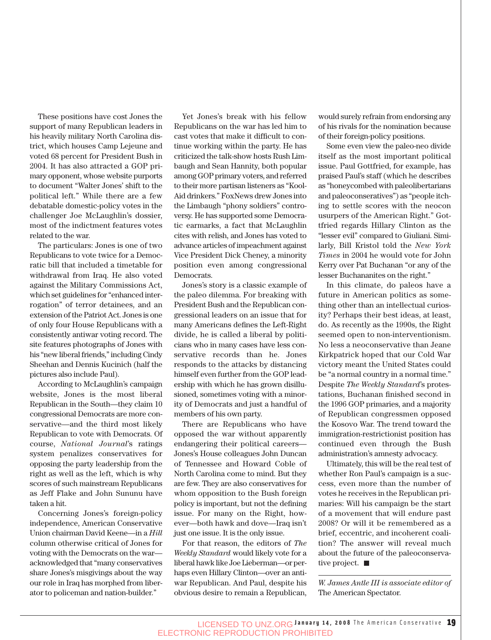These positions have cost Jones the support of many Republican leaders in his heavily military North Carolina district, which houses Camp Lejeune and voted 68 percent for President Bush in 2004. It has also attracted a GOP primary opponent, whose website purports to document "Walter Jones' shift to the political left." While there are a few debatable domestic-policy votes in the challenger Joe McLaughlin's dossier, most of the indictment features votes related to the war.

The particulars: Jones is one of two Republicans to vote twice for a Democratic bill that included a timetable for withdrawal from Iraq. He also voted against the Military Commissions Act, which set guidelines for "enhanced interrogation" of terror detainees, and an extension of the Patriot Act. Jones is one of only four House Republicans with a consistently antiwar voting record. The site features photographs of Jones with his "new liberal friends," including Cindy Sheehan and Dennis Kucinich (half the pictures also include Paul).

According to McLaughlin's campaign website, Jones is the most liberal Republican in the South—they claim 10 congressional Democrats are more conservative—and the third most likely Republican to vote with Democrats. Of course, *National Journal*'s ratings system penalizes conservatives for opposing the party leadership from the right as well as the left, which is why scores of such mainstream Republicans as Jeff Flake and John Sununu have taken a hit.

Concerning Jones's foreign-policy independence, American Conservative Union chairman David Keene—in a *Hill* column otherwise critical of Jones for voting with the Democrats on the war acknowledged that "many conservatives share Jones's misgivings about the way our role in Iraq has morphed from liberator to policeman and nation-builder."

Yet Jones's break with his fellow Republicans on the war has led him to cast votes that make it difficult to continue working within the party. He has criticized the talk-show hosts Rush Limbaugh and Sean Hannity, both popular among GOP primary voters, and referred to their more partisan listeners as "Kool-Aid drinkers." FoxNews drew Jones into the Limbaugh "phony soldiers" controversy. He has supported some Democratic earmarks, a fact that McLaughlin cites with relish, and Jones has voted to advance articles of impeachment against Vice President Dick Cheney, a minority position even among congressional Democrats.

Jones's story is a classic example of the paleo dilemma. For breaking with President Bush and the Republican congressional leaders on an issue that for many Americans defines the Left-Right divide, he is called a liberal by politicians who in many cases have less conservative records than he. Jones responds to the attacks by distancing himself even further from the GOP leadership with which he has grown disillusioned, sometimes voting with a minority of Democrats and just a handful of members of his own party.

There are Republicans who have opposed the war without apparently endangering their political careers— Jones's House colleagues John Duncan of Tennessee and Howard Coble of North Carolina come to mind. But they are few. They are also conservatives for whom opposition to the Bush foreign policy is important, but not the defining issue. For many on the Right, however—both hawk and dove—Iraq isn't just one issue. It is the only issue.

For that reason, the editors of *The Weekly Standard* would likely vote for a liberal hawk like Joe Lieberman—or perhaps even Hillary Clinton—over an antiwar Republican. And Paul, despite his obvious desire to remain a Republican, would surely refrain from endorsing any of his rivals for the nomination because of their foreign-policy positions.

Some even view the paleo-neo divide itself as the most important political issue. Paul Gottfried, for example, has praised Paul's staff (which he describes as "honeycombed with paleolibertarians and paleoconseratives") as "people itching to settle scores with the neocon usurpers of the American Right." Gottfried regards Hillary Clinton as the "lesser evil" compared to Giuliani. Similarly, Bill Kristol told the *New York Times* in 2004 he would vote for John Kerry over Pat Buchanan "or any of the lesser Buchananites on the right."

In this climate, do paleos have a future in American politics as something other than an intellectual curiosity? Perhaps their best ideas, at least, do. As recently as the 1990s, the Right seemed open to non-interventionism. No less a neoconservative than Jeane Kirkpatrick hoped that our Cold War victory meant the United States could be "a normal country in a normal time." Despite *The Weekly Standard*'s protestations, Buchanan finished second in the 1996 GOP primaries, and a majority of Republican congressmen opposed the Kosovo War. The trend toward the immigration-restrictionist position has continued even through the Bush administration's amnesty advocacy.

Ultimately, this will be the real test of whether Ron Paul's campaign is a success, even more than the number of votes he receives in the Republican primaries: Will his campaign be the start of a movement that will endure past 2008? Or will it be remembered as a brief, eccentric, and incoherent coalition? The answer will reveal much about the future of the paleoconservative project.  $\blacksquare$ 

*W. James Antle III is associate editor of* The American Spectator.